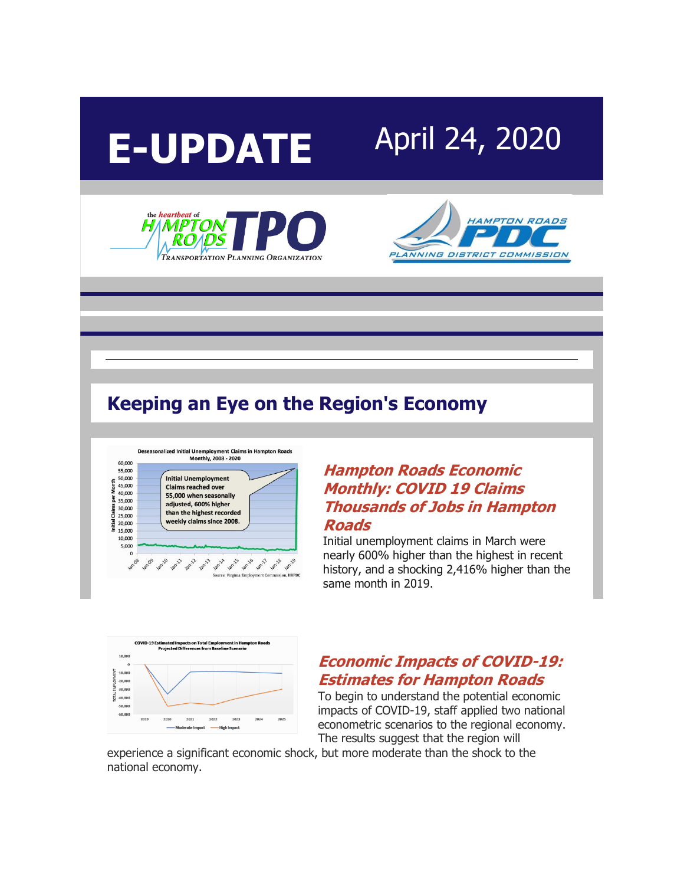





## **Keeping an Eye on the Region's Economy**



#### **[Hampton Roads Economic](http://r20.rs6.net/tn.jsp?f=0018nYe3b0TJwd15YKFrVeTFF79N15EIjRu5HTkHfMwq5KnV42rQTy9JauL8ZvSvklRx_pbQ1bZyI8ygMvpIpjxlUN6FM2QiIytWwmfCjqygx6df5v-HYWz4vEztMa6lIboV6EdLLJ_hedGEMUiObM9oiAl1Cu7fpTCHjQaYaycUBrcn89Br4mkzNV8o-6fH9dMvbo14l7TUYo=&c=nNUCxWnfOTqgF5lKBdTmLA5DusFd-1__jegndztj_5T45ydORhEsnA==&ch=PCn95la3Dqw0pZ6ovwh8j0WCTG09xAzgYPxM0iiTmb7tZPv3ces6Fg==)  [Monthly: COVID 19 Claims](http://r20.rs6.net/tn.jsp?f=0018nYe3b0TJwd15YKFrVeTFF79N15EIjRu5HTkHfMwq5KnV42rQTy9JauL8ZvSvklRx_pbQ1bZyI8ygMvpIpjxlUN6FM2QiIytWwmfCjqygx6df5v-HYWz4vEztMa6lIboV6EdLLJ_hedGEMUiObM9oiAl1Cu7fpTCHjQaYaycUBrcn89Br4mkzNV8o-6fH9dMvbo14l7TUYo=&c=nNUCxWnfOTqgF5lKBdTmLA5DusFd-1__jegndztj_5T45ydORhEsnA==&ch=PCn95la3Dqw0pZ6ovwh8j0WCTG09xAzgYPxM0iiTmb7tZPv3ces6Fg==)  [Thousands of Jobs in Hampton](http://r20.rs6.net/tn.jsp?f=0018nYe3b0TJwd15YKFrVeTFF79N15EIjRu5HTkHfMwq5KnV42rQTy9JauL8ZvSvklRx_pbQ1bZyI8ygMvpIpjxlUN6FM2QiIytWwmfCjqygx6df5v-HYWz4vEztMa6lIboV6EdLLJ_hedGEMUiObM9oiAl1Cu7fpTCHjQaYaycUBrcn89Br4mkzNV8o-6fH9dMvbo14l7TUYo=&c=nNUCxWnfOTqgF5lKBdTmLA5DusFd-1__jegndztj_5T45ydORhEsnA==&ch=PCn95la3Dqw0pZ6ovwh8j0WCTG09xAzgYPxM0iiTmb7tZPv3ces6Fg==)  [Roads](http://r20.rs6.net/tn.jsp?f=0018nYe3b0TJwd15YKFrVeTFF79N15EIjRu5HTkHfMwq5KnV42rQTy9JauL8ZvSvklRx_pbQ1bZyI8ygMvpIpjxlUN6FM2QiIytWwmfCjqygx6df5v-HYWz4vEztMa6lIboV6EdLLJ_hedGEMUiObM9oiAl1Cu7fpTCHjQaYaycUBrcn89Br4mkzNV8o-6fH9dMvbo14l7TUYo=&c=nNUCxWnfOTqgF5lKBdTmLA5DusFd-1__jegndztj_5T45ydORhEsnA==&ch=PCn95la3Dqw0pZ6ovwh8j0WCTG09xAzgYPxM0iiTmb7tZPv3ces6Fg==)**

Initial unemployment claims in March were nearly 600% higher than the highest in recent history, and a shocking 2,416% higher than the same month in 2019.



## **[Economic Impacts of COVID-19:](http://r20.rs6.net/tn.jsp?f=0018nYe3b0TJwd15YKFrVeTFF79N15EIjRu5HTkHfMwq5KnV42rQTy9JauL8ZvSvklRbIojt2vIOwqd6pGxoofRkTOBw8uEeLz-MXV4NYPiU1vuK2eZ_QodcsvAbWYQapmTYQqE19YKIIn4VeESEtC6EshfG2-Osv9nR3F_aV5DSL5KE0HCPASFAnflSS4AeoKyDhmDxLmcAZ5VoaV_gmXGBuqApjg1qYGW&c=nNUCxWnfOTqgF5lKBdTmLA5DusFd-1__jegndztj_5T45ydORhEsnA==&ch=PCn95la3Dqw0pZ6ovwh8j0WCTG09xAzgYPxM0iiTmb7tZPv3ces6Fg==) [Estimates for Hampton Roads](http://r20.rs6.net/tn.jsp?f=0018nYe3b0TJwd15YKFrVeTFF79N15EIjRu5HTkHfMwq5KnV42rQTy9JauL8ZvSvklRbIojt2vIOwqd6pGxoofRkTOBw8uEeLz-MXV4NYPiU1vuK2eZ_QodcsvAbWYQapmTYQqE19YKIIn4VeESEtC6EshfG2-Osv9nR3F_aV5DSL5KE0HCPASFAnflSS4AeoKyDhmDxLmcAZ5VoaV_gmXGBuqApjg1qYGW&c=nNUCxWnfOTqgF5lKBdTmLA5DusFd-1__jegndztj_5T45ydORhEsnA==&ch=PCn95la3Dqw0pZ6ovwh8j0WCTG09xAzgYPxM0iiTmb7tZPv3ces6Fg==)**

To begin to understand the potential economic impacts of COVID-19, staff applied two national econometric scenarios to the regional economy. The results suggest that the region will

experience a significant economic shock, but more moderate than the shock to the national economy.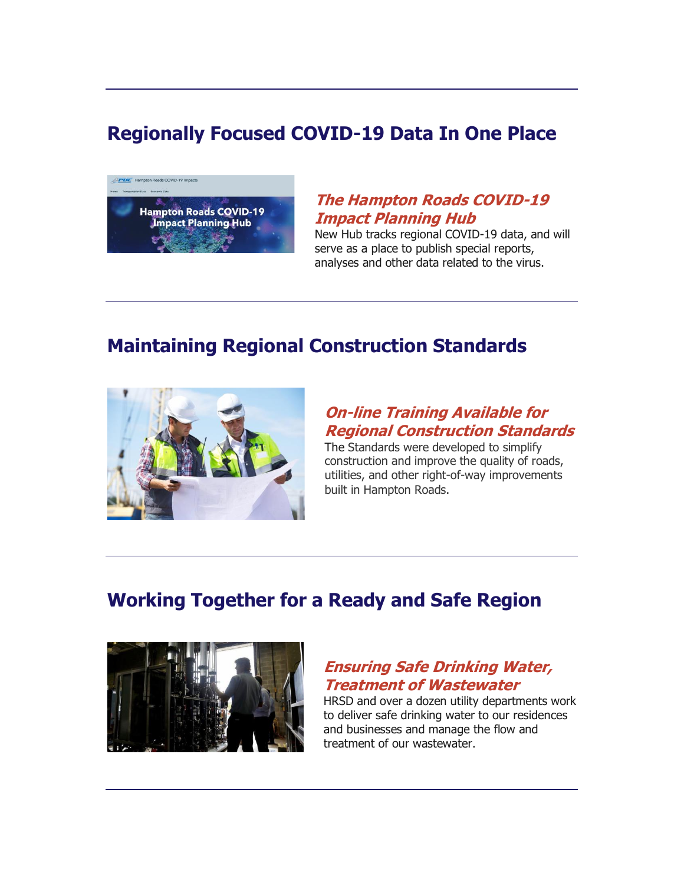# **Regionally Focused COVID-19 Data In One Place**



#### **[The Hampton Roads COVID-19](http://r20.rs6.net/tn.jsp?f=0018nYe3b0TJwd15YKFrVeTFF79N15EIjRu5HTkHfMwq5KnV42rQTy9JauL8ZvSvklRyli00_guLnZKghEno3l6GlxKsZ7WT1lfKUqFKc_WSJB1pfCQTfff5e0z0q_795N87plBvJFPpn47FIIjUwBugLCgQfweyMB7BSeJJ8_CAcwUnhkoGEaY6UfRdLcPAa52HZ6HCQdHK6vFcPZKVQC988JK5Fc7CCteRA9oeUaxQvilK7PSc69cGG-RLNh3Ii98&c=nNUCxWnfOTqgF5lKBdTmLA5DusFd-1__jegndztj_5T45ydORhEsnA==&ch=PCn95la3Dqw0pZ6ovwh8j0WCTG09xAzgYPxM0iiTmb7tZPv3ces6Fg==)  [Impact Planning Hub](http://r20.rs6.net/tn.jsp?f=0018nYe3b0TJwd15YKFrVeTFF79N15EIjRu5HTkHfMwq5KnV42rQTy9JauL8ZvSvklRyli00_guLnZKghEno3l6GlxKsZ7WT1lfKUqFKc_WSJB1pfCQTfff5e0z0q_795N87plBvJFPpn47FIIjUwBugLCgQfweyMB7BSeJJ8_CAcwUnhkoGEaY6UfRdLcPAa52HZ6HCQdHK6vFcPZKVQC988JK5Fc7CCteRA9oeUaxQvilK7PSc69cGG-RLNh3Ii98&c=nNUCxWnfOTqgF5lKBdTmLA5DusFd-1__jegndztj_5T45ydORhEsnA==&ch=PCn95la3Dqw0pZ6ovwh8j0WCTG09xAzgYPxM0iiTmb7tZPv3ces6Fg==)**

New Hub tracks regional COVID-19 data, and will serve as a place to publish special reports, analyses and other data related to the virus.

## **Maintaining Regional Construction Standards**



#### **[On-line Training Available for](http://r20.rs6.net/tn.jsp?f=0018nYe3b0TJwd15YKFrVeTFF79N15EIjRu5HTkHfMwq5KnV42rQTy9JauL8ZvSvklRZIm8P95vdFFsRXveOGc5IUecN1arnO7ZDn4Y6l_4l8OTsBdFYtxyCUa7K64Po7JbxvibQZhmclgrecaz8CWvTlSVAuEYvA5XFJPBULeJMvp4j-tNuiOk7_E21gJGPZFfytTN_CJHtClobdn_-CQ-uAuYrPnHBeFxpMUXa55g1SeLQfFSHFJF5phdH9ehviZQRaS0wrNxbGgDZ8190kG3LA==&c=nNUCxWnfOTqgF5lKBdTmLA5DusFd-1__jegndztj_5T45ydORhEsnA==&ch=PCn95la3Dqw0pZ6ovwh8j0WCTG09xAzgYPxM0iiTmb7tZPv3ces6Fg==)  [Regional Construction Standards](http://r20.rs6.net/tn.jsp?f=0018nYe3b0TJwd15YKFrVeTFF79N15EIjRu5HTkHfMwq5KnV42rQTy9JauL8ZvSvklRZIm8P95vdFFsRXveOGc5IUecN1arnO7ZDn4Y6l_4l8OTsBdFYtxyCUa7K64Po7JbxvibQZhmclgrecaz8CWvTlSVAuEYvA5XFJPBULeJMvp4j-tNuiOk7_E21gJGPZFfytTN_CJHtClobdn_-CQ-uAuYrPnHBeFxpMUXa55g1SeLQfFSHFJF5phdH9ehviZQRaS0wrNxbGgDZ8190kG3LA==&c=nNUCxWnfOTqgF5lKBdTmLA5DusFd-1__jegndztj_5T45ydORhEsnA==&ch=PCn95la3Dqw0pZ6ovwh8j0WCTG09xAzgYPxM0iiTmb7tZPv3ces6Fg==)**

The Standards were developed to simplify construction and improve the quality of roads, utilities, and other right-of-way improvements built in Hampton Roads.

# **Working Together for a Ready and Safe Region**



## **[Ensuring Safe Drinking Water,](http://r20.rs6.net/tn.jsp?f=0018nYe3b0TJwd15YKFrVeTFF79N15EIjRu5HTkHfMwq5KnV42rQTy9JauL8ZvSvklRRlp1A9Bcv25pGVU2GjM9_fOy1vV3XIuGCr16nogmP31wTLfOfuwFvhNpvuSgyziRvMSDPyU5377Ocrhb-AthLfxcn1DEUp6309AoxBjz821WbhyxlG6hOfov-JIUKLFLd67fcm1iOaaFPh44_6e57a54rjT49CMN9VrRfo2FV4wrFdKSNVgw5fVDouF0_WjZnDsqKEPrlq1qZRidXJlc_vG-Fms3RwcN&c=nNUCxWnfOTqgF5lKBdTmLA5DusFd-1__jegndztj_5T45ydORhEsnA==&ch=PCn95la3Dqw0pZ6ovwh8j0WCTG09xAzgYPxM0iiTmb7tZPv3ces6Fg==)  [Treatment of Wastewater](http://r20.rs6.net/tn.jsp?f=0018nYe3b0TJwd15YKFrVeTFF79N15EIjRu5HTkHfMwq5KnV42rQTy9JauL8ZvSvklRRlp1A9Bcv25pGVU2GjM9_fOy1vV3XIuGCr16nogmP31wTLfOfuwFvhNpvuSgyziRvMSDPyU5377Ocrhb-AthLfxcn1DEUp6309AoxBjz821WbhyxlG6hOfov-JIUKLFLd67fcm1iOaaFPh44_6e57a54rjT49CMN9VrRfo2FV4wrFdKSNVgw5fVDouF0_WjZnDsqKEPrlq1qZRidXJlc_vG-Fms3RwcN&c=nNUCxWnfOTqgF5lKBdTmLA5DusFd-1__jegndztj_5T45ydORhEsnA==&ch=PCn95la3Dqw0pZ6ovwh8j0WCTG09xAzgYPxM0iiTmb7tZPv3ces6Fg==)**

HRSD and over a dozen utility departments work to deliver safe drinking water to our residences and businesses and manage the flow and treatment of our wastewater.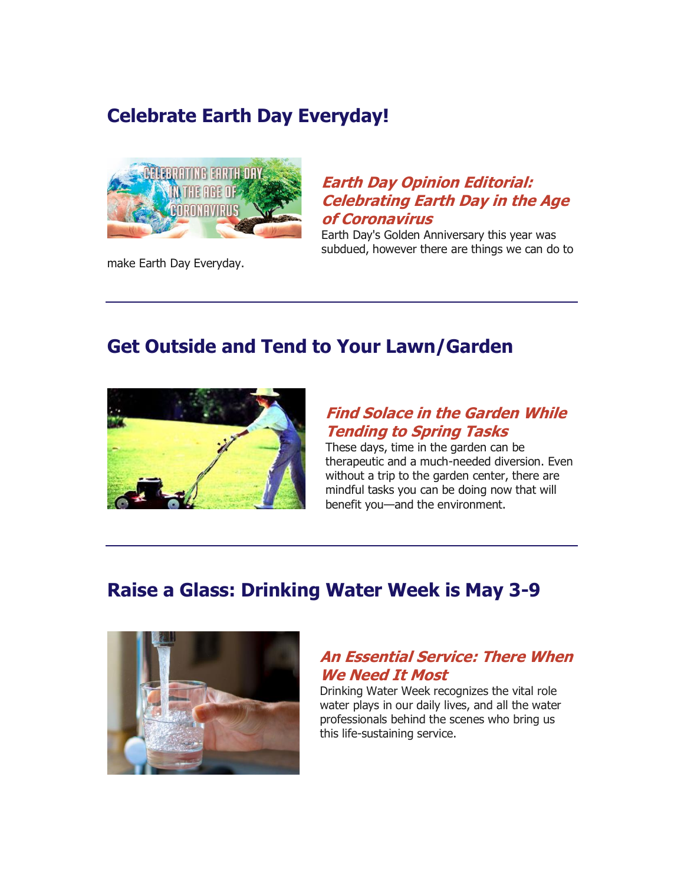## **Celebrate Earth Day Everyday!**



make Earth Day Everyday.

## **[Earth Day Opinion Editorial:](http://r20.rs6.net/tn.jsp?f=0018nYe3b0TJwd15YKFrVeTFF79N15EIjRu5HTkHfMwq5KnV42rQTy9JauL8ZvSvklRVX62b1XFz7VY71_urcp_BO-LlEkAZHI1KMZHIKyuWcGSQx2k_7XsxIjtoXHtT18QNqqj2sXQb2_mwT-E5iszkKl74H617izph_2mdTVcPh-GzOC-UD6pPTirAP8kl36e2dC5FxFEYw_xX9rYD3CTtItbebYzlgPjk59E38TP6rhUafZHRvuUJkmPyqDFHNeqSqCeza5IReY3SfhYuUDw47e3EGGWPe9vYSJ2G2f0-rgsY2uxQWjmgg==&c=nNUCxWnfOTqgF5lKBdTmLA5DusFd-1__jegndztj_5T45ydORhEsnA==&ch=PCn95la3Dqw0pZ6ovwh8j0WCTG09xAzgYPxM0iiTmb7tZPv3ces6Fg==)  [Celebrating Earth Day in the Age](http://r20.rs6.net/tn.jsp?f=0018nYe3b0TJwd15YKFrVeTFF79N15EIjRu5HTkHfMwq5KnV42rQTy9JauL8ZvSvklRVX62b1XFz7VY71_urcp_BO-LlEkAZHI1KMZHIKyuWcGSQx2k_7XsxIjtoXHtT18QNqqj2sXQb2_mwT-E5iszkKl74H617izph_2mdTVcPh-GzOC-UD6pPTirAP8kl36e2dC5FxFEYw_xX9rYD3CTtItbebYzlgPjk59E38TP6rhUafZHRvuUJkmPyqDFHNeqSqCeza5IReY3SfhYuUDw47e3EGGWPe9vYSJ2G2f0-rgsY2uxQWjmgg==&c=nNUCxWnfOTqgF5lKBdTmLA5DusFd-1__jegndztj_5T45ydORhEsnA==&ch=PCn95la3Dqw0pZ6ovwh8j0WCTG09xAzgYPxM0iiTmb7tZPv3ces6Fg==)  [of Coronavirus](http://r20.rs6.net/tn.jsp?f=0018nYe3b0TJwd15YKFrVeTFF79N15EIjRu5HTkHfMwq5KnV42rQTy9JauL8ZvSvklRVX62b1XFz7VY71_urcp_BO-LlEkAZHI1KMZHIKyuWcGSQx2k_7XsxIjtoXHtT18QNqqj2sXQb2_mwT-E5iszkKl74H617izph_2mdTVcPh-GzOC-UD6pPTirAP8kl36e2dC5FxFEYw_xX9rYD3CTtItbebYzlgPjk59E38TP6rhUafZHRvuUJkmPyqDFHNeqSqCeza5IReY3SfhYuUDw47e3EGGWPe9vYSJ2G2f0-rgsY2uxQWjmgg==&c=nNUCxWnfOTqgF5lKBdTmLA5DusFd-1__jegndztj_5T45ydORhEsnA==&ch=PCn95la3Dqw0pZ6ovwh8j0WCTG09xAzgYPxM0iiTmb7tZPv3ces6Fg==)**

Earth Day's Golden Anniversary this year was subdued, however there are things we can do to

## **Get Outside and Tend to Your Lawn/Garden**



## **[Find Solace in the Garden While](http://r20.rs6.net/tn.jsp?f=0018nYe3b0TJwd15YKFrVeTFF79N15EIjRu5HTkHfMwq5KnV42rQTy9JauL8ZvSvklRmwdE-7gm8fJsC5HodqJb3uqG7AtSfgAup9MyqYybZ0Cfa1tKgGpkYJzAuW1w0PtBqusDtY4MMP99qhbyJt0POSxp5STtfSsriG158JXJmrWvGF4dy7Oi4tmvPaV_SAkEefvRJiXr5qjPl9QHrot81CC0eq4l6U-ihmdp63OG9JW2U9dWeCUbG_izPlOwOBjl5Cp-S-oqoJFOfE96Th3rlA==&c=nNUCxWnfOTqgF5lKBdTmLA5DusFd-1__jegndztj_5T45ydORhEsnA==&ch=PCn95la3Dqw0pZ6ovwh8j0WCTG09xAzgYPxM0iiTmb7tZPv3ces6Fg==)  [Tending to Spring Tasks](http://r20.rs6.net/tn.jsp?f=0018nYe3b0TJwd15YKFrVeTFF79N15EIjRu5HTkHfMwq5KnV42rQTy9JauL8ZvSvklRmwdE-7gm8fJsC5HodqJb3uqG7AtSfgAup9MyqYybZ0Cfa1tKgGpkYJzAuW1w0PtBqusDtY4MMP99qhbyJt0POSxp5STtfSsriG158JXJmrWvGF4dy7Oi4tmvPaV_SAkEefvRJiXr5qjPl9QHrot81CC0eq4l6U-ihmdp63OG9JW2U9dWeCUbG_izPlOwOBjl5Cp-S-oqoJFOfE96Th3rlA==&c=nNUCxWnfOTqgF5lKBdTmLA5DusFd-1__jegndztj_5T45ydORhEsnA==&ch=PCn95la3Dqw0pZ6ovwh8j0WCTG09xAzgYPxM0iiTmb7tZPv3ces6Fg==)**

These days, time in the garden can be therapeutic and a much-needed diversion. Even without a trip to the garden center, there are mindful tasks you can be doing now that will benefit you—and the environment.

# **Raise a Glass: Drinking Water Week is May 3-9**



## **[An Essential Service: There When](http://r20.rs6.net/tn.jsp?f=0018nYe3b0TJwd15YKFrVeTFF79N15EIjRu5HTkHfMwq5KnV42rQTy9JauL8ZvSvklRkSN0a7ftYjFoL6ul_nzouy7CVQgNcY0ZwdtLIokfVQRVPfORAV3iCsKl87FFYKH_GJU9kzKGZ58HU3ZrEF1cnBAexpMp7BJ8Y8bqtcP37PeNUtsq5MWAgPT5G8oKMUbgB8e0kJdAEkoNEuUst-ZqVpso-TnEAROI-ru6TsejKJD6rJ9VNM17EP49YC4O5v28&c=nNUCxWnfOTqgF5lKBdTmLA5DusFd-1__jegndztj_5T45ydORhEsnA==&ch=PCn95la3Dqw0pZ6ovwh8j0WCTG09xAzgYPxM0iiTmb7tZPv3ces6Fg==)  [We Need It Most](http://r20.rs6.net/tn.jsp?f=0018nYe3b0TJwd15YKFrVeTFF79N15EIjRu5HTkHfMwq5KnV42rQTy9JauL8ZvSvklRkSN0a7ftYjFoL6ul_nzouy7CVQgNcY0ZwdtLIokfVQRVPfORAV3iCsKl87FFYKH_GJU9kzKGZ58HU3ZrEF1cnBAexpMp7BJ8Y8bqtcP37PeNUtsq5MWAgPT5G8oKMUbgB8e0kJdAEkoNEuUst-ZqVpso-TnEAROI-ru6TsejKJD6rJ9VNM17EP49YC4O5v28&c=nNUCxWnfOTqgF5lKBdTmLA5DusFd-1__jegndztj_5T45ydORhEsnA==&ch=PCn95la3Dqw0pZ6ovwh8j0WCTG09xAzgYPxM0iiTmb7tZPv3ces6Fg==)**

Drinking Water Week recognizes the vital role water plays in our daily lives, and all the water professionals behind the scenes who bring us this life-sustaining service.